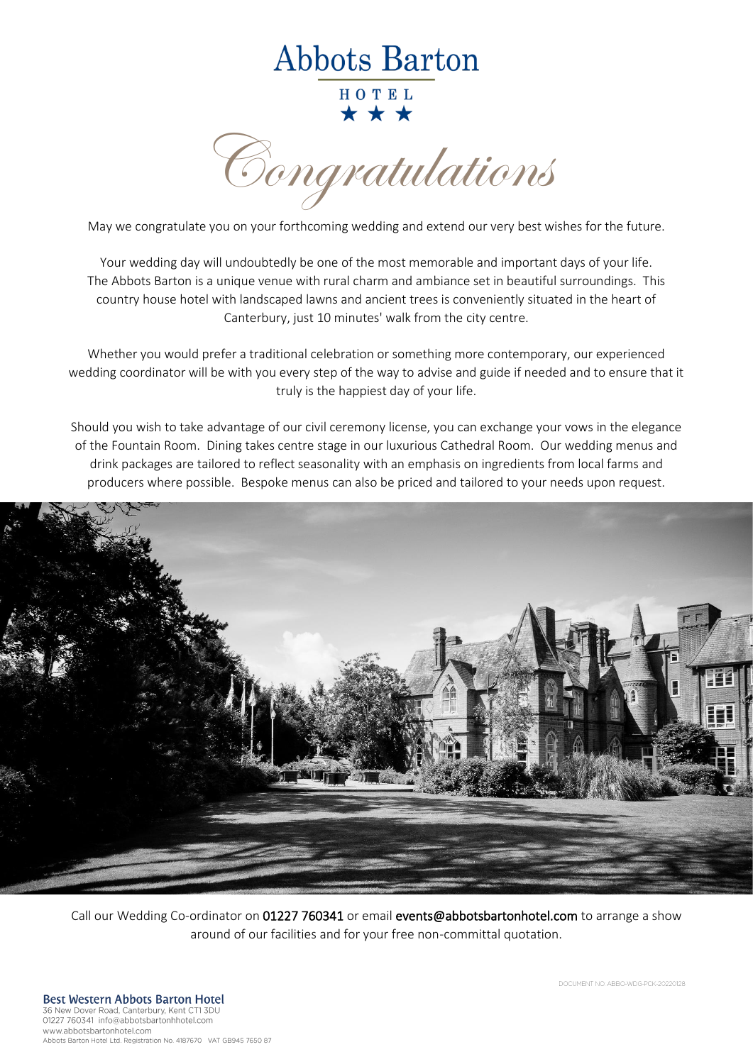## **Abbots Barton**

HOTEL \* \* \*

Congratulations

May we congratulate you on your forthcoming wedding and extend our very best wishes for the future.

Your wedding day will undoubtedly be one of the most memorable and important days of your life. The Abbots Barton is a unique venue with rural charm and ambiance set in beautiful surroundings. This country house hotel with landscaped lawns and ancient trees is conveniently situated in the heart of Canterbury, just 10 minutes' walk from the city centre.

Whether you would prefer a traditional celebration or something more contemporary, our experienced wedding coordinator will be with you every step of the way to advise and guide if needed and to ensure that it truly is the happiest day of your life.

Should you wish to take advantage of our civil ceremony license, you can exchange your vows in the elegance of the Fountain Room. Dining takes centre stage in our luxurious Cathedral Room. Our wedding menus and drink packages are tailored to reflect seasonality with an emphasis on ingredients from local farms and producers where possible. Bespoke menus can also be priced and tailored to your needs upon request.



Call our Wedding Co-ordinator on 01227 760341 or email events@abbotsbartonhotel.com to arrange a show around of our facilities and for your free non-committal quotation.

DOCUMENT NO: ABBO-WDG-PCK-20220128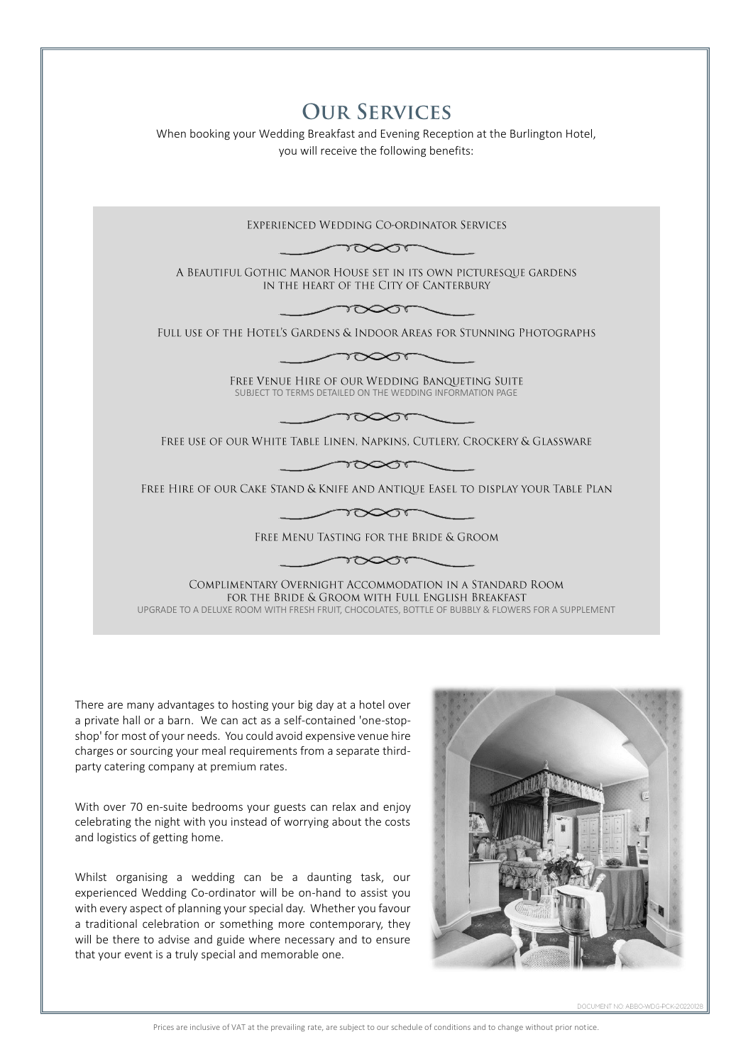| <b>OUR SERVICES</b><br>When booking your Wedding Breakfast and Evening Reception at the Burlington Hotel,<br>you will receive the following benefits:                                                               |
|---------------------------------------------------------------------------------------------------------------------------------------------------------------------------------------------------------------------|
| EXPERIENCED WEDDING CO-ORDINATOR SERVICES                                                                                                                                                                           |
| $\sim$                                                                                                                                                                                                              |
| A BEAUTIFUL GOTHIC MANOR HOUSE SET IN ITS OWN PICTURESQUE GARDENS<br>IN THE HEART OF THE CITY OF CANTERBURY                                                                                                         |
|                                                                                                                                                                                                                     |
| FULL USE OF THE HOTEL'S GARDENS & INDOOR AREAS FOR STUNNING PHOTOGRAPHS                                                                                                                                             |
|                                                                                                                                                                                                                     |
| FREE VENUE HIRE OF OUR WEDDING BANQUETING SUITE<br>SUBJECT TO TERMS DETAILED ON THE WEDDING INFORMATION PAGE                                                                                                        |
| $\gamma \infty$                                                                                                                                                                                                     |
| FREE USE OF OUR WHITE TABLE LINEN, NAPKINS, CUTLERY, CROCKERY & GLASSWARE                                                                                                                                           |
| $\sum_{\ell\in\mathbb{Z}}$                                                                                                                                                                                          |
| Free Hire of our Cake Stand & Knife and Antique Easel to display your Table Plan                                                                                                                                    |
|                                                                                                                                                                                                                     |
| FREE MENU TASTING FOR THE BRIDE & GROOM                                                                                                                                                                             |
|                                                                                                                                                                                                                     |
| COMPLIMENTARY OVERNIGHT ACCOMMODATION IN A STANDARD ROOM<br>FOR THE BRIDE & GROOM WITH FULL ENGLISH BREAKFAST<br>UPGRADE TO A DELUXE ROOM WITH FRESH FRUIT, CHOCOLATES, BOTTLE OF BUBBLY & FLOWERS FOR A SUPPLEMENT |
|                                                                                                                                                                                                                     |

There are many advantages to hosting your big day at a hotel over a private hall or a barn. We can act as a self-contained 'one-stopshop' for most of your needs. You could avoid expensive venue hire charges or sourcing your meal requirements from a separate thirdparty catering company at premium rates.

With over 70 en-suite bedrooms your guests can relax and enjoy celebrating the night with you instead of worrying about the costs and logistics of getting home.

Whilst organising a wedding can be a daunting task, our experienced Wedding Co-ordinator will be on-hand to assist you with every aspect of planning your special day. Whether you favour a traditional celebration or something more contemporary, they will be there to advise and guide where necessary and to ensure that your event is a truly special and memorable one.



DOCUMENT NO: ABBO-WDG-PCK-2022012